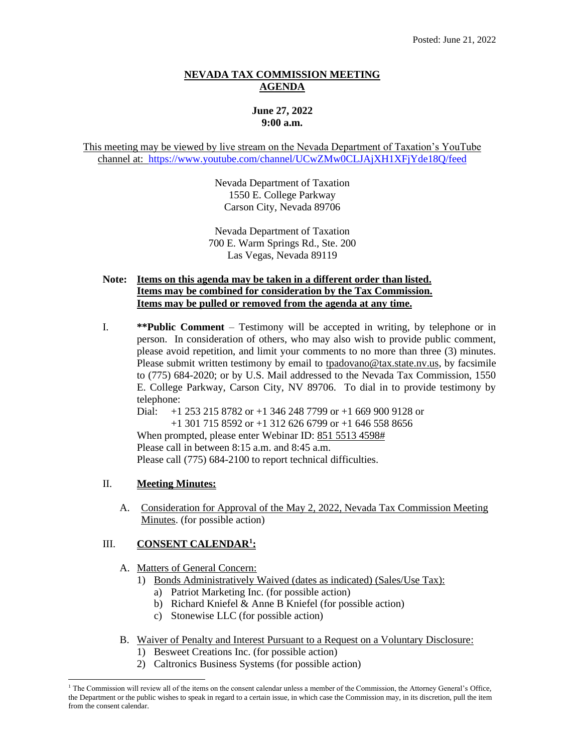### **NEVADA TAX COMMISSION MEETING AGENDA**

# **June 27, 2022 9:00 a.m.**

This meeting may be viewed by live stream on the Nevada Department of Taxation's YouTube channel at: <https://www.youtube.com/channel/UCwZMw0CLJAjXH1XFjYde18Q/feed>

> Nevada Department of Taxation 1550 E. College Parkway Carson City, Nevada 89706

Nevada Department of Taxation 700 E. Warm Springs Rd., Ste. 200 Las Vegas, Nevada 89119

### **Note: Items on this agenda may be taken in a different order than listed. Items may be combined for consideration by the Tax Commission. Items may be pulled or removed from the agenda at any time.**

I. **\*\*Public Comment** – Testimony will be accepted in writing, by telephone or in person. In consideration of others, who may also wish to provide public comment, please avoid repetition, and limit your comments to no more than three (3) minutes. Please submit written testimony by email to [tpadovano@tax.state.nv.us,](mailto:tpadovano@tax.state.nv.us) by facsimile to (775) 684-2020; or by U.S. Mail addressed to the Nevada Tax Commission, 1550 E. College Parkway, Carson City, NV 89706. To dial in to provide testimony by telephone:

Dial: +1 253 215 8782 or +1 346 248 7799 or +1 669 900 9128 or +1 301 715 8592 or +1 312 626 6799 or +1 646 558 8656

When prompted, please enter Webinar ID: 851 5513 4598#

Please call in between 8:15 a.m. and 8:45 a.m.

Please call (775) 684-2100 to report technical difficulties.

# II. **Meeting Minutes:**

A. Consideration for Approval of the May 2, 2022, Nevada Tax Commission Meeting Minutes. (for possible action)

# III. **CONSENT CALENDAR<sup>1</sup> :**

- A. Matters of General Concern:
	- 1) Bonds Administratively Waived (dates as indicated) (Sales/Use Tax):
		- a) Patriot Marketing Inc. (for possible action)
		- b) Richard Kniefel & Anne B Kniefel (for possible action)
		- c) Stonewise LLC (for possible action)
- B. Waiver of Penalty and Interest Pursuant to a Request on a Voluntary Disclosure:
	- 1) Besweet Creations Inc. (for possible action)
	- 2) Caltronics Business Systems (for possible action)

 $1$  The Commission will review all of the items on the consent calendar unless a member of the Commission, the Attorney General's Office, the Department or the public wishes to speak in regard to a certain issue, in which case the Commission may, in its discretion, pull the item from the consent calendar.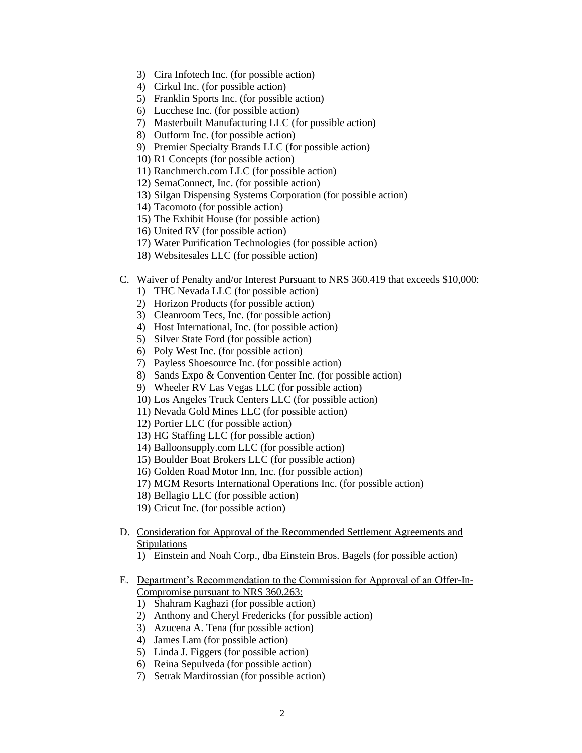- 3) Cira Infotech Inc. (for possible action)
- 4) Cirkul Inc. (for possible action)
- 5) Franklin Sports Inc. (for possible action)
- 6) Lucchese Inc. (for possible action)
- 7) Masterbuilt Manufacturing LLC (for possible action)
- 8) Outform Inc. (for possible action)
- 9) Premier Specialty Brands LLC (for possible action)
- 10) R1 Concepts (for possible action)
- 11) Ranchmerch.com LLC (for possible action)
- 12) SemaConnect, Inc. (for possible action)
- 13) Silgan Dispensing Systems Corporation (for possible action)
- 14) Tacomoto (for possible action)
- 15) The Exhibit House (for possible action)
- 16) United RV (for possible action)
- 17) Water Purification Technologies (for possible action)
- 18) Websitesales LLC (for possible action)

#### C. Waiver of Penalty and/or Interest Pursuant to NRS 360.419 that exceeds \$10,000:

- 1) THC Nevada LLC (for possible action)
- 2) Horizon Products (for possible action)
- 3) Cleanroom Tecs, Inc. (for possible action)
- 4) Host International, Inc. (for possible action)
- 5) Silver State Ford (for possible action)
- 6) Poly West Inc. (for possible action)
- 7) Payless Shoesource Inc. (for possible action)
- 8) Sands Expo & Convention Center Inc. (for possible action)
- 9) Wheeler RV Las Vegas LLC (for possible action)
- 10) Los Angeles Truck Centers LLC (for possible action)
- 11) Nevada Gold Mines LLC (for possible action)
- 12) Portier LLC (for possible action)
- 13) HG Staffing LLC (for possible action)
- 14) Balloonsupply.com LLC (for possible action)
- 15) Boulder Boat Brokers LLC (for possible action)
- 16) Golden Road Motor Inn, Inc. (for possible action)
- 17) MGM Resorts International Operations Inc. (for possible action)
- 18) Bellagio LLC (for possible action)
- 19) Cricut Inc. (for possible action)
- D. Consideration for Approval of the Recommended Settlement Agreements and **Stipulations** 
	- 1) Einstein and Noah Corp., dba Einstein Bros. Bagels (for possible action)
- E. Department's Recommendation to the Commission for Approval of an Offer-In-Compromise pursuant to NRS 360.263:
	- 1) Shahram Kaghazi (for possible action)
	- 2) Anthony and Cheryl Fredericks (for possible action)
	- 3) Azucena A. Tena (for possible action)
	- 4) James Lam (for possible action)
	- 5) Linda J. Figgers (for possible action)
	- 6) Reina Sepulveda (for possible action)
	- 7) Setrak Mardirossian (for possible action)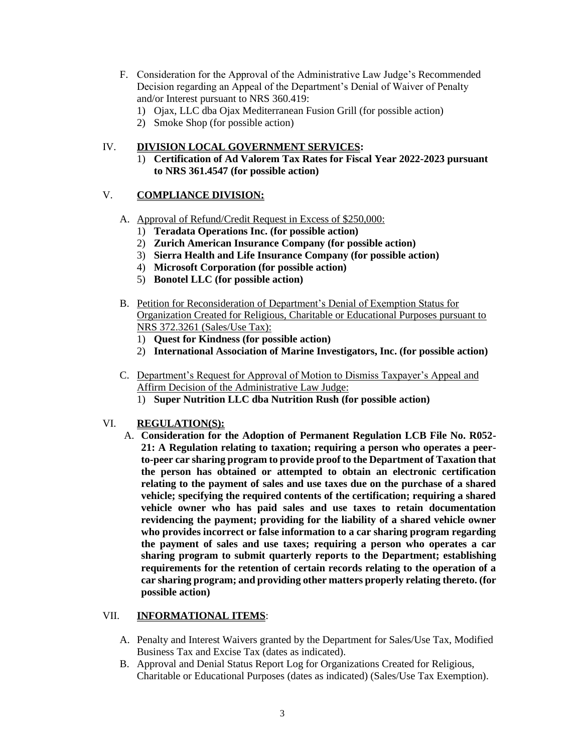- F. Consideration for the Approval of the Administrative Law Judge's Recommended Decision regarding an Appeal of the Department's Denial of Waiver of Penalty and/or Interest pursuant to NRS 360.419:
	- 1) Ojax, LLC dba Ojax Mediterranean Fusion Grill (for possible action)
	- 2) Smoke Shop (for possible action)

## IV. **DIVISION LOCAL GOVERNMENT SERVICES:**

1) **Certification of Ad Valorem Tax Rates for Fiscal Year 2022-2023 pursuant to NRS 361.4547 (for possible action)**

## V. **COMPLIANCE DIVISION:**

- A. Approval of Refund/Credit Request in Excess of \$250,000:
	- 1) **Teradata Operations Inc. (for possible action)**
	- 2) **Zurich American Insurance Company (for possible action)**
	- 3) **Sierra Health and Life Insurance Company (for possible action)**
	- 4) **Microsoft Corporation (for possible action)**
	- 5) **Bonotel LLC (for possible action)**
- B. Petition for Reconsideration of Department's Denial of Exemption Status for Organization Created for Religious, Charitable or Educational Purposes pursuant to NRS 372.3261 (Sales/Use Tax):
	- 1) **Quest for Kindness (for possible action)**
	- 2) **International Association of Marine Investigators, Inc. (for possible action)**
- C. Department's Request for Approval of Motion to Dismiss Taxpayer's Appeal and Affirm Decision of the Administrative Law Judge:
	- 1) **Super Nutrition LLC dba Nutrition Rush (for possible action)**

# VI. **REGULATION(S):**

A. **Consideration for the Adoption of Permanent Regulation LCB File No. R052- 21: A Regulation relating to taxation; requiring a person who operates a peerto-peer car sharing program to provide proof to the Department of Taxation that the person has obtained or attempted to obtain an electronic certification relating to the payment of sales and use taxes due on the purchase of a shared vehicle; specifying the required contents of the certification; requiring a shared vehicle owner who has paid sales and use taxes to retain documentation revidencing the payment; providing for the liability of a shared vehicle owner who provides incorrect or false information to a car sharing program regarding the payment of sales and use taxes; requiring a person who operates a car sharing program to submit quarterly reports to the Department; establishing requirements for the retention of certain records relating to the operation of a car sharing program; and providing other matters properly relating thereto. (for possible action)**

#### VII. **INFORMATIONAL ITEMS**:

- A. Penalty and Interest Waivers granted by the Department for Sales/Use Tax, Modified Business Tax and Excise Tax (dates as indicated).
- B. Approval and Denial Status Report Log for Organizations Created for Religious, Charitable or Educational Purposes (dates as indicated) (Sales/Use Tax Exemption).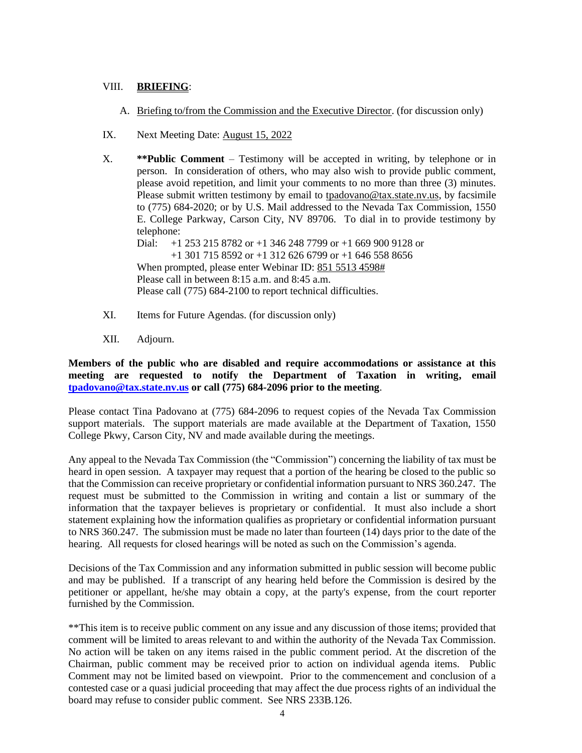## VIII. **BRIEFING**:

- A. Briefing to/from the Commission and the Executive Director. (for discussion only)
- IX. Next Meeting Date: August 15, 2022

X. **\*\*Public Comment** – Testimony will be accepted in writing, by telephone or in person. In consideration of others, who may also wish to provide public comment, please avoid repetition, and limit your comments to no more than three (3) minutes. Please submit written testimony by email to [tpadovano@tax.state.nv.us,](mailto:tpadovano@tax.state.nv.us) by facsimile to (775) 684-2020; or by U.S. Mail addressed to the Nevada Tax Commission, 1550 E. College Parkway, Carson City, NV 89706. To dial in to provide testimony by telephone:

Dial: +1 253 215 8782 or +1 346 248 7799 or +1 669 900 9128 or +1 301 715 8592 or +1 312 626 6799 or +1 646 558 8656 When prompted, please enter Webinar ID: 851 5513 4598# Please call in between 8:15 a.m. and 8:45 a.m. Please call (775) 684-2100 to report technical difficulties.

- XI. Items for Future Agendas. (for discussion only)
- XII. Adjourn.

**Members of the public who are disabled and require accommodations or assistance at this meeting are requested to notify the Department of Taxation in writing, email [tpadovano@tax.state.nv.us](mailto:tpadovano@tax.state.nv.us) or call (775) 684-2096 prior to the meeting**.

Please contact Tina Padovano at (775) 684-2096 to request copies of the Nevada Tax Commission support materials. The support materials are made available at the Department of Taxation, 1550 College Pkwy, Carson City, NV and made available during the meetings.

Any appeal to the Nevada Tax Commission (the "Commission") concerning the liability of tax must be heard in open session. A taxpayer may request that a portion of the hearing be closed to the public so that the Commission can receive proprietary or confidential information pursuant to NRS 360.247. The request must be submitted to the Commission in writing and contain a list or summary of the information that the taxpayer believes is proprietary or confidential. It must also include a short statement explaining how the information qualifies as proprietary or confidential information pursuant to NRS 360.247. The submission must be made no later than fourteen (14) days prior to the date of the hearing. All requests for closed hearings will be noted as such on the Commission's agenda.

Decisions of the Tax Commission and any information submitted in public session will become public and may be published. If a transcript of any hearing held before the Commission is desired by the petitioner or appellant, he/she may obtain a copy, at the party's expense, from the court reporter furnished by the Commission.

\*\*This item is to receive public comment on any issue and any discussion of those items; provided that comment will be limited to areas relevant to and within the authority of the Nevada Tax Commission. No action will be taken on any items raised in the public comment period. At the discretion of the Chairman, public comment may be received prior to action on individual agenda items. Public Comment may not be limited based on viewpoint. Prior to the commencement and conclusion of a contested case or a quasi judicial proceeding that may affect the due process rights of an individual the board may refuse to consider public comment. See NRS 233B.126.